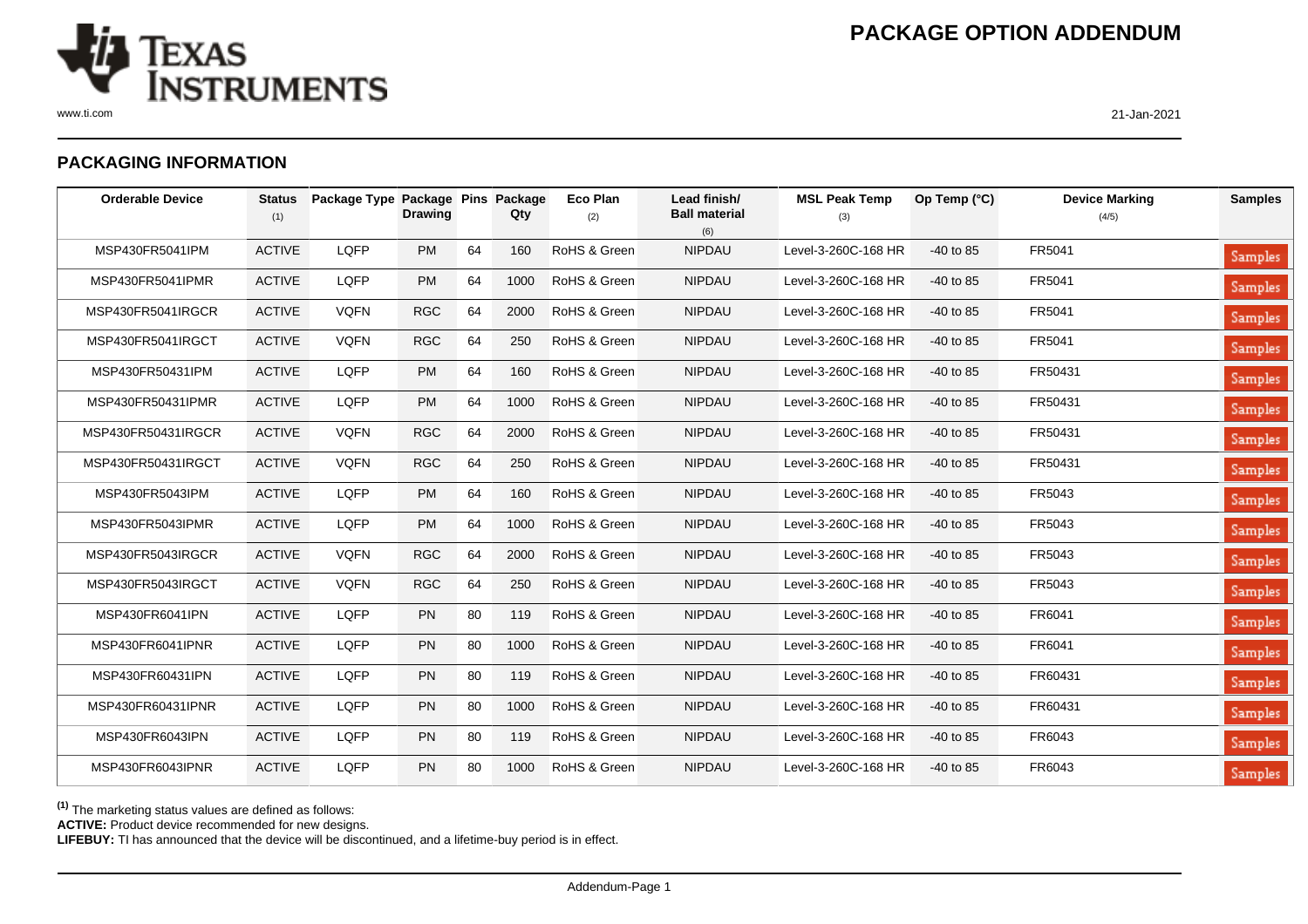

www.ti.com 21-Jan-2021

## **PACKAGING INFORMATION**

| <b>Orderable Device</b> | <b>Status</b><br>(1) | Package Type Package Pins | <b>Drawing</b> |    | Package<br>Qty | <b>Eco Plan</b><br>(2) | Lead finish/<br><b>Ball material</b><br>(6) | <b>MSL Peak Temp</b><br>(3) | Op Temp (°C) | <b>Device Marking</b><br>(4/5) | <b>Samples</b> |
|-------------------------|----------------------|---------------------------|----------------|----|----------------|------------------------|---------------------------------------------|-----------------------------|--------------|--------------------------------|----------------|
| MSP430FR5041IPM         | <b>ACTIVE</b>        | LQFP                      | <b>PM</b>      | 64 | 160            | RoHS & Green           | <b>NIPDAU</b>                               | Level-3-260C-168 HR         | $-40$ to 85  | FR5041                         | Samples        |
| MSP430FR5041IPMR        | <b>ACTIVE</b>        | LQFP                      | <b>PM</b>      | 64 | 1000           | RoHS & Green           | <b>NIPDAU</b>                               | Level-3-260C-168 HR         | $-40$ to 85  | FR5041                         | Samples        |
| MSP430FR5041IRGCR       | <b>ACTIVE</b>        | <b>VQFN</b>               | <b>RGC</b>     | 64 | 2000           | RoHS & Green           | <b>NIPDAU</b>                               | Level-3-260C-168 HR         | $-40$ to 85  | FR5041                         | Samples        |
| MSP430FR5041IRGCT       | <b>ACTIVE</b>        | <b>VQFN</b>               | <b>RGC</b>     | 64 | 250            | RoHS & Green           | <b>NIPDAU</b>                               | Level-3-260C-168 HR         | $-40$ to 85  | FR5041                         | Samples        |
| MSP430FR50431IPM        | <b>ACTIVE</b>        | LQFP                      | <b>PM</b>      | 64 | 160            | RoHS & Green           | <b>NIPDAU</b>                               | Level-3-260C-168 HR         | $-40$ to 85  | FR50431                        | Samples        |
| MSP430FR50431IPMR       | <b>ACTIVE</b>        | LQFP                      | <b>PM</b>      | 64 | 1000           | RoHS & Green           | <b>NIPDAU</b>                               | Level-3-260C-168 HR         | $-40$ to 85  | FR50431                        | <b>Samples</b> |
| MSP430FR50431IRGCR      | <b>ACTIVE</b>        | <b>VQFN</b>               | <b>RGC</b>     | 64 | 2000           | RoHS & Green           | <b>NIPDAU</b>                               | Level-3-260C-168 HR         | $-40$ to 85  | FR50431                        | <b>Samples</b> |
| MSP430FR50431IRGCT      | <b>ACTIVE</b>        | <b>VQFN</b>               | <b>RGC</b>     | 64 | 250            | RoHS & Green           | <b>NIPDAU</b>                               | Level-3-260C-168 HR         | $-40$ to 85  | FR50431                        | Samples        |
| MSP430FR5043IPM         | <b>ACTIVE</b>        | LQFP                      | <b>PM</b>      | 64 | 160            | RoHS & Green           | <b>NIPDAU</b>                               | Level-3-260C-168 HR         | $-40$ to 85  | FR5043                         | <b>Samples</b> |
| MSP430FR5043IPMR        | <b>ACTIVE</b>        | LQFP                      | <b>PM</b>      | 64 | 1000           | RoHS & Green           | <b>NIPDAU</b>                               | Level-3-260C-168 HR         | $-40$ to 85  | FR5043                         | Samples        |
| MSP430FR5043IRGCR       | <b>ACTIVE</b>        | <b>VQFN</b>               | <b>RGC</b>     | 64 | 2000           | RoHS & Green           | <b>NIPDAU</b>                               | Level-3-260C-168 HR         | $-40$ to 85  | FR5043                         | Samples        |
| MSP430FR5043IRGCT       | <b>ACTIVE</b>        | <b>VQFN</b>               | <b>RGC</b>     | 64 | 250            | RoHS & Green           | <b>NIPDAU</b>                               | Level-3-260C-168 HR         | $-40$ to 85  | FR5043                         | <b>Samples</b> |
| MSP430FR6041IPN         | <b>ACTIVE</b>        | LQFP                      | <b>PN</b>      | 80 | 119            | RoHS & Green           | <b>NIPDAU</b>                               | Level-3-260C-168 HR         | $-40$ to 85  | FR6041                         | <b>Samples</b> |
| MSP430FR6041IPNR        | <b>ACTIVE</b>        | LQFP                      | <b>PN</b>      | 80 | 1000           | RoHS & Green           | <b>NIPDAU</b>                               | Level-3-260C-168 HR         | $-40$ to 85  | FR6041                         | Samples        |
| MSP430FR60431IPN        | <b>ACTIVE</b>        | LQFP                      | <b>PN</b>      | 80 | 119            | RoHS & Green           | <b>NIPDAU</b>                               | Level-3-260C-168 HR         | $-40$ to 85  | FR60431                        | Samples        |
| MSP430FR60431IPNR       | <b>ACTIVE</b>        | LQFP                      | <b>PN</b>      | 80 | 1000           | RoHS & Green           | <b>NIPDAU</b>                               | Level-3-260C-168 HR         | $-40$ to 85  | FR60431                        | Samples        |
| MSP430FR6043IPN         | <b>ACTIVE</b>        | LQFP                      | <b>PN</b>      | 80 | 119            | RoHS & Green           | <b>NIPDAU</b>                               | Level-3-260C-168 HR         | $-40$ to 85  | FR6043                         | <b>Samples</b> |
| MSP430FR6043IPNR        | <b>ACTIVE</b>        | LQFP                      | <b>PN</b>      | 80 | 1000           | RoHS & Green           | <b>NIPDAU</b>                               | Level-3-260C-168 HR         | $-40$ to 85  | FR6043                         | Samples        |

**(1)** The marketing status values are defined as follows:

**ACTIVE:** Product device recommended for new designs.

**LIFEBUY:** TI has announced that the device will be discontinued, and a lifetime-buy period is in effect.